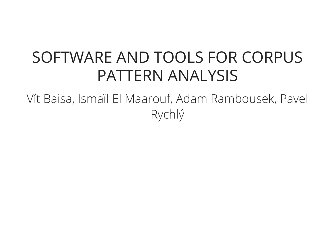#### SOFTWARE AND TOOLS FOR CORPUS PATTERN ANALYSIS

Vít Baisa, Ismaïl El Maarouf, Adam Rambousek, Pavel Rychlý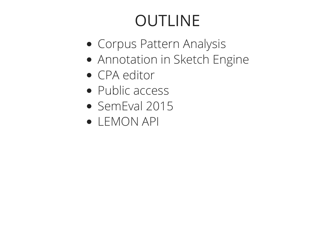# OUTLINE

- Corpus Pattern Analysis
- Annotation in Sketch Engine
- CPA editor
- Public access
- SemEval 2015
- LEMON API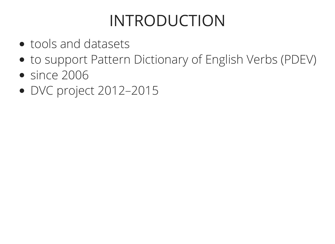### INTRODUCTION

- tools and datasets
- to support Pattern Dictionary of English Verbs (PDEV)
- since 2006
- DVC project 2012–2015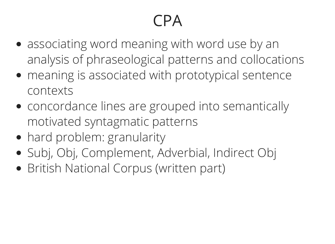# CPA

- associating word meaning with word use by an analysis of phraseological patterns and collocations
- meaning is associated with prototypical sentence contexts
- concordance lines are grouped into semantically motivated syntagmatic patterns
- hard problem: granularity
- Subj, Obj, Complement, Adverbial, Indirect Obj
- British National Corpus (written part)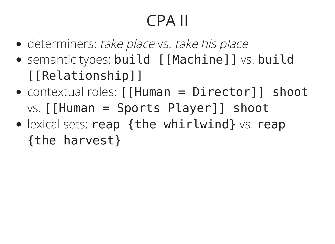# CPA II

- determiners: take place vs. take his place
- semantic types: build [[Machine]] vs. build [[Relationship]]
- contextual roles: [[Human = Director]] shoot  $vs.$  [[Human = Sports Player]] shoot
- $\bullet$  lexical sets: reap {the whirlwind} vs. reap {the harvest}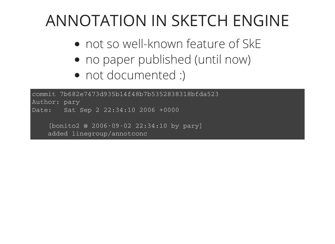#### ANNOTATION IN SKETCH ENGINE

- not so well-known feature of SkE
- no paper published (until now)
- not documented :)

commit 7b682e7473d935b14f48b7b5352838318bfda523 Author: pary Date: Sat Sep 2 22:34:10 2006 +0000

[bonito2 @ 2006-09-02 22:34:10 by pary] added linegroup/annotconc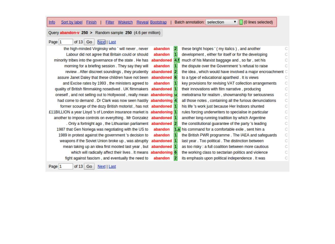$\boxed{\bullet}$  (0 lines selected) Info Sort by label Finish | Filter Wsketch Reveal Bootstrap | Batch annotation: selection

Query abandon-v 250 > Random sample 250 (4.6 per million)

#### of 13  $\boxed{Go}$   $\boxed{\text{Next}}$  | Last Page  $\boxed{1}$

| the high-minded Virginsky who ` will never, never                     | abandon       |     | these bright hopes ' (my italics), and another             |    |  |
|-----------------------------------------------------------------------|---------------|-----|------------------------------------------------------------|----|--|
| Labour did not agree that Britain could or should                     | abandon       | 1   | development, either for itself or for the developing       |    |  |
| minority tribes into the governance of the state. He has              | abandoned 4.f |     | much of his Marxist baggage and, so far, set his           |    |  |
| morning for a briefing session . They say they will                   | abandon       |     | the dispute over the Government 's refusal to raise        |    |  |
| review. After discreet soundings, they prudently abandoned 2          |               |     | the idea, which would have involved a major encroachment C |    |  |
| assure Janet Daley that these children have not been abandoned 6      |               |     | to a type of educational apartheid . It is views           |    |  |
| and Excise rates by 1993, the ministers agreed to                     | abandon       |     | key provisions for revising VAT collection arrangements    |    |  |
| quality of British filmmaking nosedived . UK filmmakers abandoned 1   |               |     | their innovations with film narrative, producing           |    |  |
| oneself, and not selling out to Hollywood, really mean abandoning u   |               |     | melodrama for realism, showmanship for seriousness         | С  |  |
| had come to demand . Dr Clark was now seen hastily abandoning 4       |               |     | all those notes, containing all the furious denunciations  | C. |  |
| former scourge of the dozy British motorist, has not abandoned 1      |               |     | his life 's work just because Her Indoors shunted          |    |  |
| £11BILLION a year Lloyd 's of London insurance market is abandoning 1 |               |     | rules forcing underwriters to specialise in particular     |    |  |
| another to impose controls on everything . Mr Gonzalez abandoned 1    |               |     | another long-running tradition by which Argentine          |    |  |
| . Only a fortnight ago, the Lithuanian parliament abandoned 2         |               |     | the constitutional guarantee of the party 's leading       |    |  |
| 1987 that Gen Noriega was negotiating with the US to                  | abandon       | 1.a | his command for a comfortable exile, sent him a            |    |  |
| 1989 in protest against the government 's decision to                 | abandon       |     | the British PWR programme . The IAEA and safeguards        |    |  |
| weapons if the Soviet Union broke up, was abruptly abandoned 1        |               |     | last year. Too political. The distinction between          |    |  |
| mean taking up an idea first mooted last year, but abandoned 1        |               |     | as too risky : a full coalition between more cautious      |    |  |
| which will radically affect their lives . It means abandoning 6       |               |     | the working class to sectarian politics and violence       |    |  |
| fight against fascism, and eventually the need to                     | abandon       |     | its emphasis upon political independence. It was           |    |  |
|                                                                       |               |     |                                                            |    |  |

of 13 Go Next | Last Page 1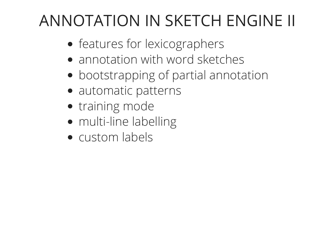### ANNOTATION IN SKETCH ENGINE II

- features for lexicographers
- annotation with word sketches
- bootstrapping of partial annotation
- automatic patterns
- training mode
- multi-line labelling
- custom labels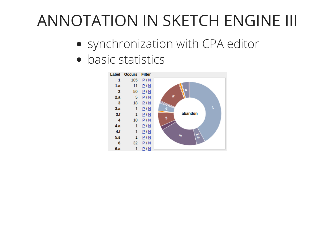#### ANNOTATION IN SKETCH ENGINE III

- synchronization with CPA editor
- basic statistics

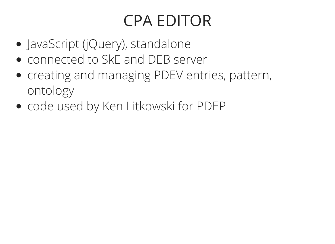### CPA EDITOR

- JavaScript (jQuery), standalone
- connected to SkE and DEB server
- creating and managing PDEV entries, pattern, ontology
- code used by Ken Litkowski for PDEP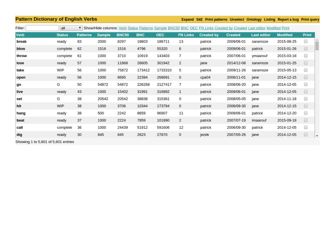| <b>Pattern Dictionary of English Verbs</b> |               |                 |               |              |            |            |                 |                   |                | Expand SkE Print patterns Unselect Ontology Listing Report a bug Print query                                          |                 |              |
|--------------------------------------------|---------------|-----------------|---------------|--------------|------------|------------|-----------------|-------------------|----------------|-----------------------------------------------------------------------------------------------------------------------|-----------------|--------------|
| Filter:                                    | all           |                 |               |              |            |            |                 |                   |                | ▼ Show/Hide columns: Verb Status Patterns Sample BNC50 BNC OEC FN Links Created by Created Last editor Modified Print |                 |              |
| <b>Verb</b>                                | <b>Status</b> | <b>Patterns</b> | <b>Sample</b> | <b>BNC50</b> | <b>BNC</b> | <b>OEC</b> | <b>FN Links</b> | <b>Created by</b> | <b>Created</b> | <b>Last editor</b>                                                                                                    | <b>Modified</b> | <b>Print</b> |
| break                                      | ready         | 83              | 2000          | 8297         | 18603      | 186711     | 13              | patrick           | 2009/06-01     | saramoze                                                                                                              | 2015-08-25      | □            |
| blow                                       | complete      | 62              | 1516          | 1516         | 4796       | 55320      | 6               | patrick           | 2009/06-01     | patrick                                                                                                               | 2015-01-26      | $\Box$       |
| throw                                      | complete      | 61              | 1000          | 3710         | 10919      | 143403     | 7               | patrick           | 2007/06-01     | ymaarouf                                                                                                              | 2015-03-18      | □            |
| lose                                       | ready         | 57              | 1000          | 11868        | 26605      | 301942     | 2               | jane              | 2014/12-08     | saramoze                                                                                                              | 2015-01-25      | $\Box$       |
| take                                       | <b>WIP</b>    | 56              | 1000          | 75872        | 173412     | 1733310    | 5               | patrick           | 2009/11-26     | saramoze                                                                                                              | 2015-05-13      | □            |
| open                                       | ready         | 56              | 1000          | 8695         | 22394      | 268691     | $\mathbf 0$     | cpa04             | 2006/11-01     | jane                                                                                                                  | 2014-12-15      | $\Box$       |
| go                                         | G             | 50              | 54872         | 54872        | 226268     | 2127417    | 7               | patrick           | 2008/06-20     | jane                                                                                                                  | 2014-12-05      | 0            |
| live                                       | ready         | 43              | 1000          | 15402        | 31991      | 316892     | 1               | patrick           | 2009/06-01     | jane                                                                                                                  | 2014-12-05      | $\Box$       |
| set                                        | G             | 38              | 20542         | 20542        | 38838      | 315361     | 0               | patrick           | 2008/05-05     | jane                                                                                                                  | 2014-11-18      | □            |
| hit                                        | <b>WIP</b>    | 38              | 1000          | 3706         | 10344      | 173794     | 0               | patrick           | 2006/09-30     | jane                                                                                                                  | 2014-12-15      | $\Box$       |
| hang                                       | ready         | 38              | 500           | 2242         | 8659       | 96907      | 11              | patrick           | 2009/06-01     | patrick                                                                                                               | 2014-12-20      | □            |
| beat                                       | ready         | 37              | 1000          | 2224         | 7859       | 101890     | 2               | patrick           | 2007/07-19     | imaarouf                                                                                                              | 2015-09-18      | $\Box$       |
| call                                       | complete      | 36              | 1000          | 24439        | 51912      | 591606     | 12              | patrick           | 2006/09-30     | patrick                                                                                                               | 2014-12-05      | 0            |
| dig                                        | ready         | 30              | 845           | 845          | 2623       | 27870      | $\mathbf 0$     | jezek             | 2007/05-26     | jane                                                                                                                  | 2014-12-05      | $\Box$       |

Showing 1 to 5,601 of 5,601 entries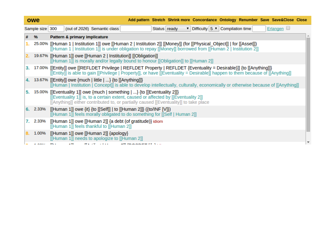|      | owe                  | Add pattern Stretch Shrink more Concordance Ontology Renumber Save Save&Close Close                                                                                                                                                                      |
|------|----------------------|----------------------------------------------------------------------------------------------------------------------------------------------------------------------------------------------------------------------------------------------------------|
|      | Sample size 300      | Erlangen $\Box$<br>$\triangledown$ Difficulty 5 $\triangledown$ Compilation time<br>(out of 2026) Semantic class<br>Status ready                                                                                                                         |
| #    | 96                   | <b>Pattern &amp; primary implicature</b>                                                                                                                                                                                                                 |
|      |                      | 25.00% [[Human 1   Institution 1]] owe [[Human 2   Institution 2]] [[Money]] (for [[Physical_Object]]   for [[Asset]])<br>[[Human 1   Institution 1]] is under obligation to repay [[Money]] borrowed from [[Human 2   Institution 2]]                   |
| 2. . |                      | 19.67% [[Human 1]] owe [[Human 2   Institution]] [[Obligation]]<br>[[Human 1]] is morally and/or legally bound to honour [[Obligation]] to [[Human 2]]                                                                                                   |
| 3.   |                      | 17.00% [[Entity]] owe [[REFLDET Privilege   REFLDET Property   REFLDET {Eventuality = Desirable}]] {to [[Anything]]}<br>[[Entity]] is able to gain [[Privilege   Property]], or have [[Eventuality = Desirable]] happen to them because of [[Anything]]  |
|      |                      | 4. 13.67% [[Entity]] owe {much   little   } {to [[Anything]]}<br>[[Human   Institution   Concept]] is able to develop intellectually, culturally, economically or otherwise because of [[Anything]]                                                      |
| 5.   |                      | 15.00% [[Eventuality 1]] owe {much   something   } {to [[Eventuality 2]]}<br>[[Eventuality 1]] is, to a certain extent, caused or affected by [[Eventuality 2]]<br>[[Anything]] either contributed to, or partially caused [[Eventuality]] to take place |
|      | 6. 2.33%             | [[Human 1]] owe {it} {to [[Self]]   to [[Human 2]]} ({to/INF [V]})<br>[[Human 1]] feels morally obligated to do something for [[Self   Human 2]]                                                                                                         |
|      | 7. 2.33%             | [[Human 1]] owe [[Human 2]] {a debt (of gratitude)} idiom<br>[[Human 1]] feels thankful to [[Human 2]]                                                                                                                                                   |
| 8.   | 1.00%                | [[Human 1]] owe [[Human 2]] {apology}<br>[[Human 1]] needs to apologize to [[Human 2]]                                                                                                                                                                   |
|      | $\ddot{\phantom{0}}$ | ma de la tien<br>all (naanger 17 )                                                                                                                                                                                                                       |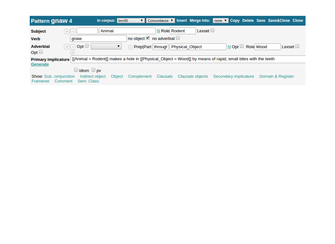| <b>Pattern gnaw 4</b>                                                                                                                                | In corpus: bnc50                        | V Concordance V Insert Merge into: none V Copy Delete Save Save&Close Close |                             |                   |  |  |  |  |
|------------------------------------------------------------------------------------------------------------------------------------------------------|-----------------------------------------|-----------------------------------------------------------------------------|-----------------------------|-------------------|--|--|--|--|
| <b>Subject</b><br>$+$ $-$                                                                                                                            | Animal                                  | Lexset $\Box$<br>N Role Rodent                                              |                             |                   |  |  |  |  |
| <b>Verb</b><br>gnaw                                                                                                                                  |                                         | no object <u>v</u> no adverbial □                                           |                             |                   |  |  |  |  |
| $+$ $-$ Opt $\Box$<br><b>Adverbial</b><br>$Opt \Box$                                                                                                 |                                         | Prep Part   through   Physical Object                                       | Role Wood<br>$N$ Opt $\Box$ | Lexset $\Box$     |  |  |  |  |
| Primary implicature [[[Animal = Rodent]] makes a hole in [[Physical_Object = Wood]] by means of rapid, small bites with the teeth<br><b>Generate</b> |                                         |                                                                             |                             |                   |  |  |  |  |
| $\Box$ idiom $\Box$ pv<br><b>Show: Sub. conjunction</b><br>Sem. Class<br>Comment<br>Framenet                                                         | Indirect object<br>Complement<br>Object | <b>Clausals objects</b><br><b>Clausals</b>                                  | Secondary implicature       | Domain & Register |  |  |  |  |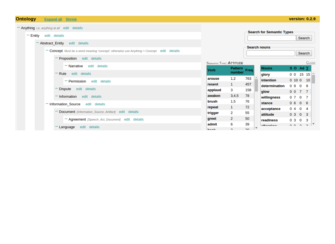#### **Ontology Expand all** Shrink

#### - Anything *i.e.* anything at all edit details **Search for Semantic Types**  $=$  Entity edit details Search - Abstract Entity edit details **Search nouns** - Concept Must be a word meaning 'concept'; otherwise use Anything = Concept edit details Search Proposition edit details  $C$ LOSE **SEMANTIC TYPE: ATTITUDE** - Narrative edit details Pattern<br>number<br>Freq **Nouns** SO Ad <sub>Σ</sub> **Verb** Rule edit details  $0 \t0 \t15 \t15$ glory arouse  $1,2$ 763 **intention**  $0 10 0 10$ - Permission edit details  $\mathbf{1}$ resent 457 determination  $0909$ Dispute edit details applaud  $\mathbf{3}$ 158 glow  $0077$ awaken  $3,4,5$ 78 Information edit details willingness  $0707$ brush  $1,5$ 76 stance  $0606$ - Information Source edit details  $\mathbf{1}$ 72 repeat acceptance  $0404$ Document [Information\_Source, Artifact] edit details  $\overline{2}$ 55 trigger  $0$  3 0 3 attitude  $\overline{2}$ 50 - Agreement [Speech\_Act, Document] edit details greet readiness  $0303$ 6 39 admit  $0.0.2.2$ **Affairmland** Language edit details **Baal**  $\sim$  $20<sub>0</sub>$

#### version: 0.2.9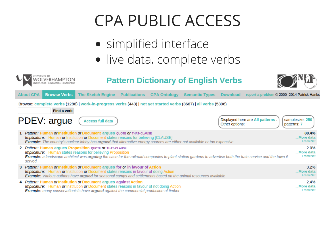#### CPA PUBLIC ACCESS

- simplified interface
- live data, complete verbs



#### **Pattern Dictionary of English Verbs**



|                                                                                                                                      | <b>About CPA</b>                                                                                                                                                                                                                                                                                                | <b>Browse Verbs</b> | <b>The Sketch Engine</b>                                                                                                                                                                                                                                                                                 | <b>Publications</b> | <b>CPA Ontology</b> | <b>Semantic Types</b> | <b>Download</b> | report a problem © 2000–2014 Patrick Hanks |                                |
|--------------------------------------------------------------------------------------------------------------------------------------|-----------------------------------------------------------------------------------------------------------------------------------------------------------------------------------------------------------------------------------------------------------------------------------------------------------------|---------------------|----------------------------------------------------------------------------------------------------------------------------------------------------------------------------------------------------------------------------------------------------------------------------------------------------------|---------------------|---------------------|-----------------------|-----------------|--------------------------------------------|--------------------------------|
| Browse: complete verbs (1286)   work-in-progress verbs (443)   not yet started verbs (3667)   all verbs (5396)<br><b>Find a verb</b> |                                                                                                                                                                                                                                                                                                                 |                     |                                                                                                                                                                                                                                                                                                          |                     |                     |                       |                 |                                            |                                |
|                                                                                                                                      |                                                                                                                                                                                                                                                                                                                 | PDEV: argue         | <b>Access full data</b>                                                                                                                                                                                                                                                                                  |                     |                     |                       | Other options:  | Displayed here are All patterns.           | samplesize: 250<br>patterns: 7 |
|                                                                                                                                      |                                                                                                                                                                                                                                                                                                                 |                     | 1 Pattern: Human or Institution or Document argues QUOTE OF THAT-CLAUSE<br><b>Implicature:</b> Human or Institution or Document states reasons for believing [CLAUSE]<br>Example: The country's nuclear lobby has argued that alternative energy sources are either not available or too expensive       |                     |                     |                       |                 |                                            | 88.4%<br>More data<br>FrameNet |
|                                                                                                                                      | <b>2</b> Pattern: Human argues Proposition QUOTE OF THAT-CLAUSE<br><b>Implicature:</b> Human states reasons for believing Proposition<br>Example: a landscape architect was arguing the case for the railroad companies to plant station gardens to advertise both the train service and the town it<br>served. |                     |                                                                                                                                                                                                                                                                                                          |                     |                     |                       |                 | 2.0%<br>More data<br>FrameNet              |                                |
|                                                                                                                                      |                                                                                                                                                                                                                                                                                                                 |                     | 3 Pattern: Human or Institution or Document argues for or in favour of Action<br><b>Implicature:</b> Human or Institution or Document states reasons in favour of doing Action<br><b>Example:</b> Various authors have argued for seasonal camps and settlements based on the animal resources available |                     |                     |                       |                 |                                            | 3.2%<br>More data<br>FrameNet  |
|                                                                                                                                      |                                                                                                                                                                                                                                                                                                                 |                     | 4 Pattern: Human or Institution or Document argues against Action<br><b>Implicature:</b> Human or Institution or Document states reasons in favour of not doing Action<br><b>Example:</b> many conservationists have <b>argued</b> against the commercial production of timber                           |                     |                     |                       |                 |                                            | 2.4%<br>More data<br>FrameNet  |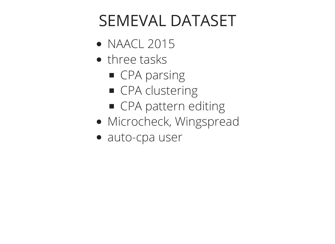#### SEMEVAL DATASET

- **NAACL 2015**
- three tasks
	- CPA parsing
	- **CPA clustering**
	- **CPA pattern editing**
- Microcheck, Wingspread
- auto-cpa user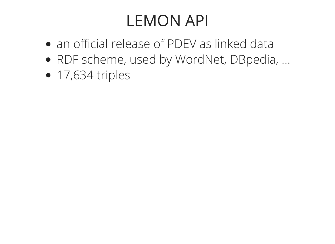## LEMON API

- an official release of PDEV as linked data
- RDF scheme, used by WordNet, DBpedia, ...
- $\bullet$  17,634 triples